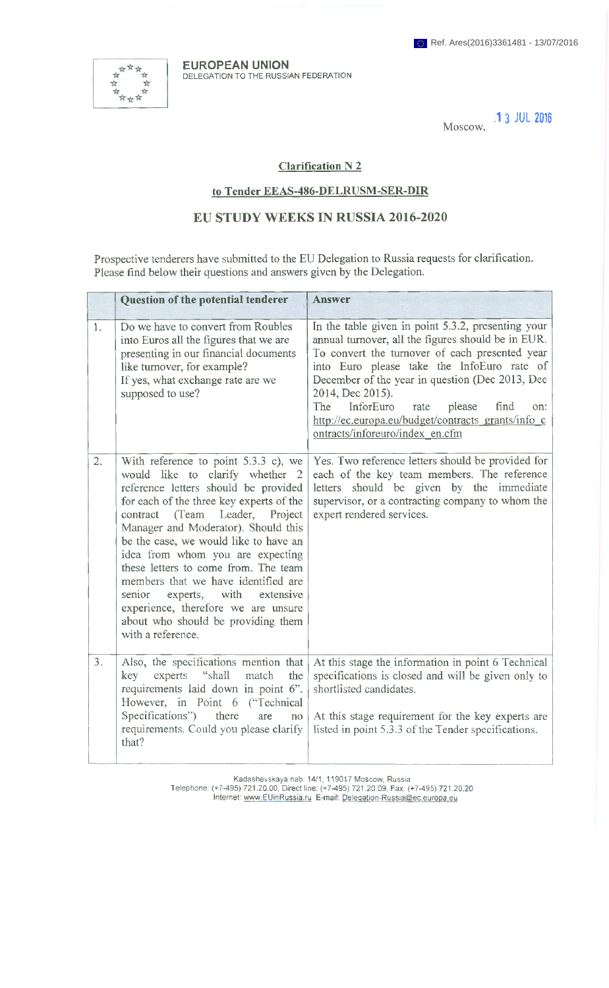\*\*\*\*\*\*

**EUROPEAN UNION** DELEGATION TO THE RUSSIAN FEDERATION

Moscow, **.13 JUL 2016**

## **Clarification N 2**

## **to Tender EEAS-486-DELRUSM-SER-DIR**

## **EU STUDY WEEKS IN RUSSIA 2016-2020**

Prospective tenderers have submitted to the EU Delegation to Russia requests for clarification. Please find below their questions and answers given by the Delegation.

|    | Question of the potential tenderer                                                                                                                                                                                                                                                                                                                                                                                                                                                                                                                       | Answer                                                                                                                                                                                                                                                                                                                                                                                                                        |
|----|----------------------------------------------------------------------------------------------------------------------------------------------------------------------------------------------------------------------------------------------------------------------------------------------------------------------------------------------------------------------------------------------------------------------------------------------------------------------------------------------------------------------------------------------------------|-------------------------------------------------------------------------------------------------------------------------------------------------------------------------------------------------------------------------------------------------------------------------------------------------------------------------------------------------------------------------------------------------------------------------------|
| 1. | Do we have to convert from Roubles<br>into Euros all the figures that we are<br>presenting in our financial documents<br>like turnover, for example?<br>If yes, what exchange rate are we<br>supposed to use?                                                                                                                                                                                                                                                                                                                                            | In the table given in point 5.3.2, presenting your<br>annual turnover, all the figures should be in EUR.<br>To convert the turnover of each presented year<br>into Euro please take the InfoEuro rate of<br>December of the year in question (Dec 2013, Dec<br>2014, Dec 2015).<br>InforEuro<br>find<br>The<br>rate<br>please<br>on:<br>http://ec.europa.eu/budget/contracts_grants/info_c<br>ontracts/inforeuro/index en.cfm |
| 2. | With reference to point $5.3.3$ c), we<br>would like to clarify whether 2<br>reference letters should be provided<br>for each of the three key experts of the<br>Leader,<br>contract<br>(Team<br>Project<br>Manager and Moderator). Should this<br>be the case, we would like to have an<br>idea from whom you are expecting<br>these letters to come from. The team<br>members that we have identified are<br>senior<br>with<br>experts,<br>extensive<br>experience, therefore we are unsure<br>about who should be providing them<br>with a reference. | Yes. Two reference letters should be provided for<br>each of the key team members. The reference<br>letters should be given by the immediate<br>supervisor, or a contracting company to whom the<br>expert rendered services.                                                                                                                                                                                                 |
| 3. | Also, the specifications mention that<br>experts<br>"shall<br>key<br>match<br>the<br>requirements laid down in point 6".<br>However, in Point 6 ("Technical<br>Specifications")<br>there<br>are<br>no<br>requirements. Could you please clarify<br>that?                                                                                                                                                                                                                                                                                                 | At this stage the information in point 6 Technical<br>specifications is closed and will be given only to<br>shortlisted candidates.<br>At this stage requirement for the key experts are<br>listed in point 5.3.3 of the Tender specifications.                                                                                                                                                                               |

Kadashevskaya nab. 14/1, 119017 Moscow, Russia Telephone: (+7-495) 721.20.00, Direct line: (+7-495) 721.20.09, Fax: (+7-495) 721.20.20 Internet: [www.EUinRussia.ru](http://www.EUinRussia.ru) E-mail: [Deleqation-Russia@ec.europa.eu](mailto:Deleqation-Russia@ec.europa.eu)